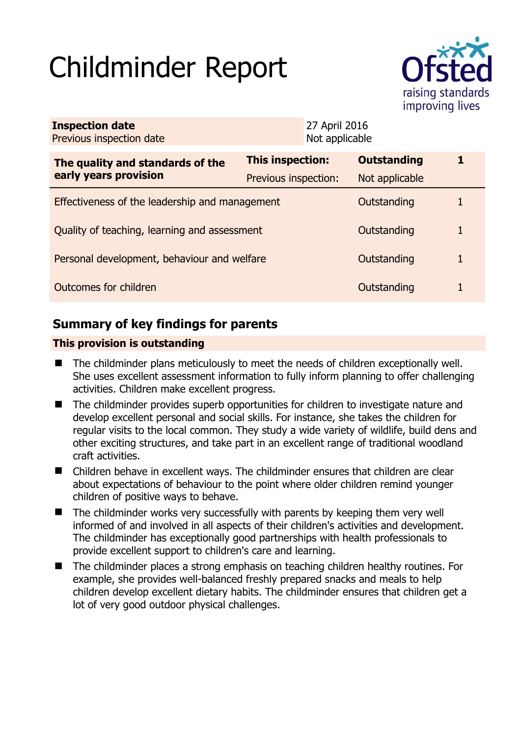# Childminder Report



| <b>Inspection date</b><br>Previous inspection date        | 27 April 2016<br>Not applicable |  |                    |   |
|-----------------------------------------------------------|---------------------------------|--|--------------------|---|
| The quality and standards of the<br>early years provision | This inspection:                |  | <b>Outstanding</b> | 1 |
|                                                           | Previous inspection:            |  | Not applicable     |   |
| Effectiveness of the leadership and management            |                                 |  | Outstanding        |   |
| Quality of teaching, learning and assessment              |                                 |  | Outstanding        | 1 |
| Personal development, behaviour and welfare               |                                 |  | Outstanding        | 1 |
| Outcomes for children                                     |                                 |  | Outstanding        |   |

## **Summary of key findings for parents**

## **This provision is outstanding**

- The childminder plans meticulously to meet the needs of children exceptionally well. She uses excellent assessment information to fully inform planning to offer challenging activities. Children make excellent progress.
- The childminder provides superb opportunities for children to investigate nature and develop excellent personal and social skills. For instance, she takes the children for regular visits to the local common. They study a wide variety of wildlife, build dens and other exciting structures, and take part in an excellent range of traditional woodland craft activities.
- Children behave in excellent ways. The childminder ensures that children are clear about expectations of behaviour to the point where older children remind younger children of positive ways to behave.
- $\blacksquare$  The childminder works very successfully with parents by keeping them very well informed of and involved in all aspects of their children's activities and development. The childminder has exceptionally good partnerships with health professionals to provide excellent support to children's care and learning.
- The childminder places a strong emphasis on teaching children healthy routines. For example, she provides well-balanced freshly prepared snacks and meals to help children develop excellent dietary habits. The childminder ensures that children get a lot of very good outdoor physical challenges.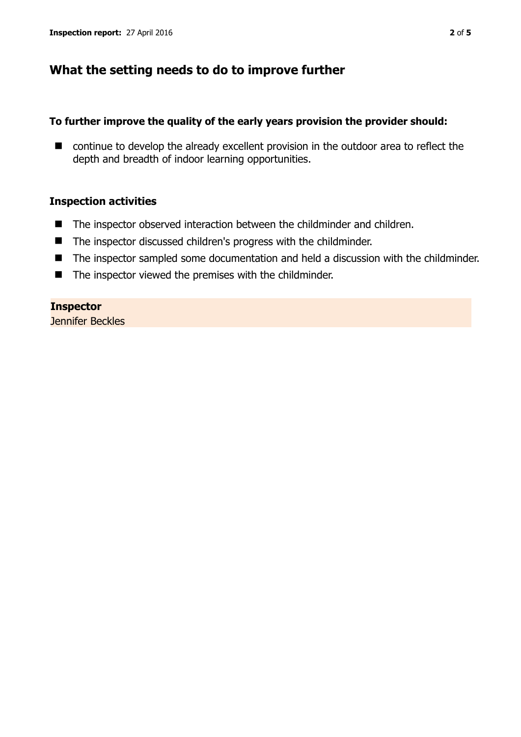## **What the setting needs to do to improve further**

## **To further improve the quality of the early years provision the provider should:**

■ continue to develop the already excellent provision in the outdoor area to reflect the depth and breadth of indoor learning opportunities.

## **Inspection activities**

- The inspector observed interaction between the childminder and children.
- The inspector discussed children's progress with the childminder.
- The inspector sampled some documentation and held a discussion with the childminder.
- The inspector viewed the premises with the childminder.

**Inspector**  Jennifer Beckles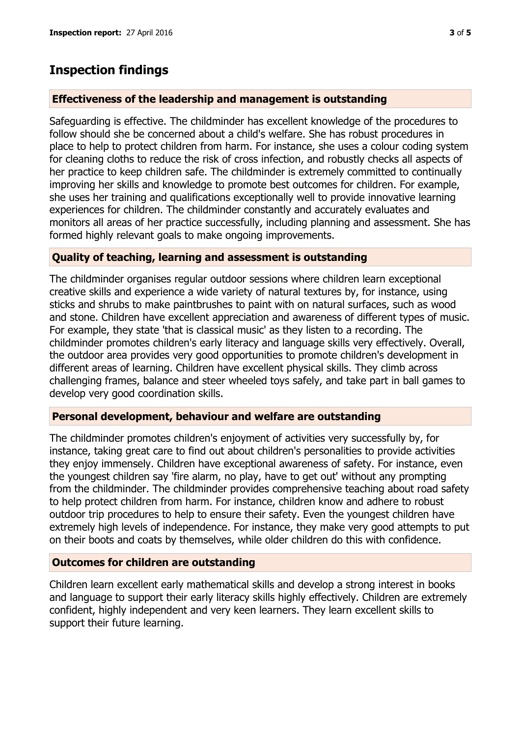## **Inspection findings**

#### **Effectiveness of the leadership and management is outstanding**

Safeguarding is effective. The childminder has excellent knowledge of the procedures to follow should she be concerned about a child's welfare. She has robust procedures in place to help to protect children from harm. For instance, she uses a colour coding system for cleaning cloths to reduce the risk of cross infection, and robustly checks all aspects of her practice to keep children safe. The childminder is extremely committed to continually improving her skills and knowledge to promote best outcomes for children. For example, she uses her training and qualifications exceptionally well to provide innovative learning experiences for children. The childminder constantly and accurately evaluates and monitors all areas of her practice successfully, including planning and assessment. She has formed highly relevant goals to make ongoing improvements.

## **Quality of teaching, learning and assessment is outstanding**

The childminder organises regular outdoor sessions where children learn exceptional creative skills and experience a wide variety of natural textures by, for instance, using sticks and shrubs to make paintbrushes to paint with on natural surfaces, such as wood and stone. Children have excellent appreciation and awareness of different types of music. For example, they state 'that is classical music' as they listen to a recording. The childminder promotes children's early literacy and language skills very effectively. Overall, the outdoor area provides very good opportunities to promote children's development in different areas of learning. Children have excellent physical skills. They climb across challenging frames, balance and steer wheeled toys safely, and take part in ball games to develop very good coordination skills.

## **Personal development, behaviour and welfare are outstanding**

The childminder promotes children's enjoyment of activities very successfully by, for instance, taking great care to find out about children's personalities to provide activities they enjoy immensely. Children have exceptional awareness of safety. For instance, even the youngest children say 'fire alarm, no play, have to get out' without any prompting from the childminder. The childminder provides comprehensive teaching about road safety to help protect children from harm. For instance, children know and adhere to robust outdoor trip procedures to help to ensure their safety. Even the youngest children have extremely high levels of independence. For instance, they make very good attempts to put on their boots and coats by themselves, while older children do this with confidence.

## **Outcomes for children are outstanding**

Children learn excellent early mathematical skills and develop a strong interest in books and language to support their early literacy skills highly effectively. Children are extremely confident, highly independent and very keen learners. They learn excellent skills to support their future learning.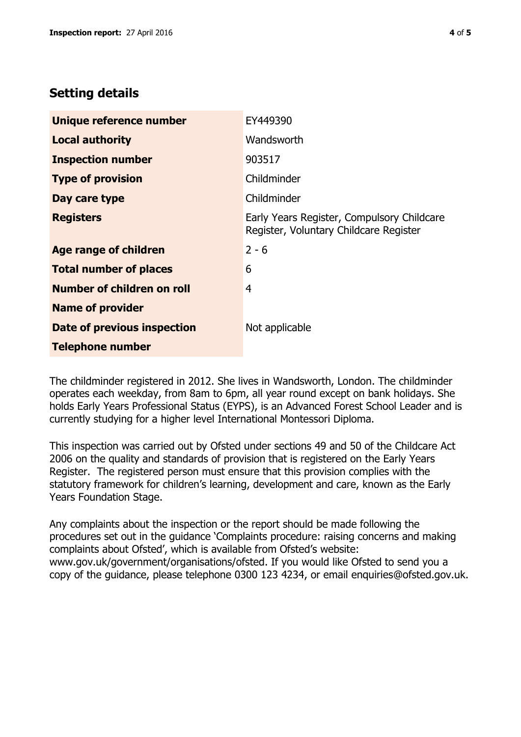## **Setting details**

| Unique reference number       | EY449390                                                                             |  |
|-------------------------------|--------------------------------------------------------------------------------------|--|
| <b>Local authority</b>        | Wandsworth                                                                           |  |
| <b>Inspection number</b>      | 903517                                                                               |  |
| <b>Type of provision</b>      | Childminder                                                                          |  |
| Day care type                 | Childminder                                                                          |  |
| <b>Registers</b>              | Early Years Register, Compulsory Childcare<br>Register, Voluntary Childcare Register |  |
| Age range of children         | $2 - 6$                                                                              |  |
| <b>Total number of places</b> | 6                                                                                    |  |
| Number of children on roll    | 4                                                                                    |  |
| <b>Name of provider</b>       |                                                                                      |  |
| Date of previous inspection   | Not applicable                                                                       |  |
| <b>Telephone number</b>       |                                                                                      |  |

The childminder registered in 2012. She lives in Wandsworth, London. The childminder operates each weekday, from 8am to 6pm, all year round except on bank holidays. She holds Early Years Professional Status (EYPS), is an Advanced Forest School Leader and is currently studying for a higher level International Montessori Diploma.

This inspection was carried out by Ofsted under sections 49 and 50 of the Childcare Act 2006 on the quality and standards of provision that is registered on the Early Years Register. The registered person must ensure that this provision complies with the statutory framework for children's learning, development and care, known as the Early Years Foundation Stage.

Any complaints about the inspection or the report should be made following the procedures set out in the guidance 'Complaints procedure: raising concerns and making complaints about Ofsted', which is available from Ofsted's website: www.gov.uk/government/organisations/ofsted. If you would like Ofsted to send you a copy of the guidance, please telephone 0300 123 4234, or email enquiries@ofsted.gov.uk.